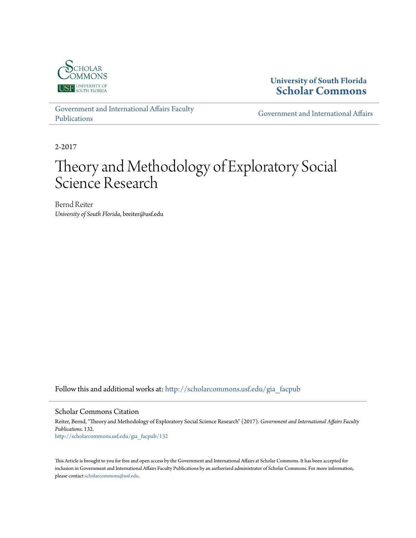

# **University of South Florida [Scholar Commons](http://scholarcommons.usf.edu?utm_source=scholarcommons.usf.edu%2Fgia_facpub%2F132&utm_medium=PDF&utm_campaign=PDFCoverPages)**

[Government and International Affairs Faculty](http://scholarcommons.usf.edu/gia_facpub?utm_source=scholarcommons.usf.edu%2Fgia_facpub%2F132&utm_medium=PDF&utm_campaign=PDFCoverPages) [Publications](http://scholarcommons.usf.edu/gia_facpub?utm_source=scholarcommons.usf.edu%2Fgia_facpub%2F132&utm_medium=PDF&utm_campaign=PDFCoverPages)

[Government and International Affairs](http://scholarcommons.usf.edu/gia?utm_source=scholarcommons.usf.edu%2Fgia_facpub%2F132&utm_medium=PDF&utm_campaign=PDFCoverPages)

2-2017

# Theory and Methodology of Exploratory Social Science Research

Bernd Reiter *University of South Florida*, breiter@usf.edu

Follow this and additional works at: [http://scholarcommons.usf.edu/gia\\_facpub](http://scholarcommons.usf.edu/gia_facpub?utm_source=scholarcommons.usf.edu%2Fgia_facpub%2F132&utm_medium=PDF&utm_campaign=PDFCoverPages)

#### Scholar Commons Citation

Reiter, Bernd, "Theory and Methodology of Exploratory Social Science Research" (2017). *Government and International Affairs Faculty Publications*. 132. [http://scholarcommons.usf.edu/gia\\_facpub/132](http://scholarcommons.usf.edu/gia_facpub/132?utm_source=scholarcommons.usf.edu%2Fgia_facpub%2F132&utm_medium=PDF&utm_campaign=PDFCoverPages)

This Article is brought to you for free and open access by the Government and International Affairs at Scholar Commons. It has been accepted for inclusion in Government and International Affairs Faculty Publications by an authorized administrator of Scholar Commons. For more information, please contact [scholarcommons@usf.edu.](mailto:scholarcommons@usf.edu)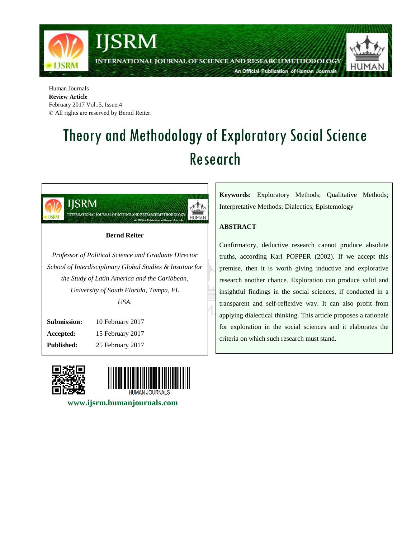

Human Journals **Review Article** February 2017 Vol.:5, Issue:4 © All rights are reserved by Bernd Reiter.

# Theory and Methodology of Exploratory Social Science Research



**Accepted:** 15 February 2017 **Published:** 25 February 2017





 **www.ijsrm.humanjournals.com**

**Keywords:** Exploratory Methods; Qualitative Methods; Interpretative Methods; Dialectics; Epistemology

## **ABSTRACT**

Confirmatory, deductive research cannot produce absolute truths, according Karl POPPER (2002). If we accept this premise, then it is worth giving inductive and explorative research another chance. Exploration can produce valid and insightful findings in the social sciences, if conducted in a transparent and self-reflexive way. It can also profit from applying dialectical thinking. This article proposes a rationale for exploration in the social sciences and it elaborates the criteria on which such research must stand.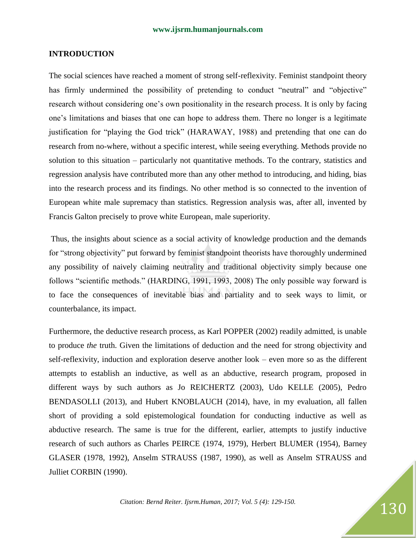#### **INTRODUCTION**

The social sciences have reached a moment of strong self-reflexivity. Feminist standpoint theory has firmly undermined the possibility of pretending to conduct "neutral" and "objective" research without considering one's own positionality in the research process. It is only by facing one's limitations and biases that one can hope to address them. There no longer is a legitimate justification for "playing the God trick" (HARAWAY, 1988) and pretending that one can do research from no-where, without a specific interest, while seeing everything. Methods provide no solution to this situation – particularly not quantitative methods. To the contrary, statistics and regression analysis have contributed more than any other method to introducing, and hiding, bias into the research process and its findings. No other method is so connected to the invention of European white male supremacy than statistics. Regression analysis was, after all, invented by Francis Galton precisely to prove white European, male superiority.

Thus, the insights about science as a social activity of knowledge production and the demands for "strong objectivity" put forward by feminist standpoint theorists have thoroughly undermined any possibility of naively claiming neutrality and traditional objectivity simply because one follows "scientific methods." (HARDING, 1991, 1993, 2008) The only possible way forward is to face the consequences of inevitable bias and partiality and to seek ways to limit, or counterbalance, its impact.

Furthermore, the deductive research process, as Karl POPPER (2002) readily admitted, is unable to produce *the* truth. Given the limitations of deduction and the need for strong objectivity and self-reflexivity, induction and exploration deserve another look – even more so as the different attempts to establish an inductive, as well as an abductive, research program, proposed in different ways by such authors as Jo REICHERTZ (2003), Udo KELLE (2005), Pedro BENDASOLLI (2013), and Hubert KNOBLAUCH (2014), have, in my evaluation, all fallen short of providing a sold epistemological foundation for conducting inductive as well as abductive research. The same is true for the different, earlier, attempts to justify inductive research of such authors as Charles PEIRCE (1974, 1979), Herbert BLUMER (1954), Barney GLASER (1978, 1992), Anselm STRAUSS (1987, 1990), as well as Anselm STRAUSS and Julliet CORBIN (1990).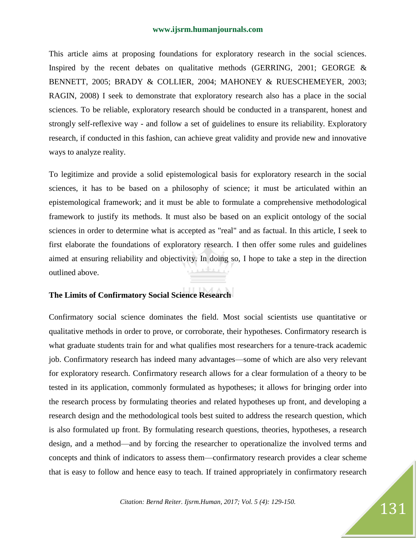This article aims at proposing foundations for exploratory research in the social sciences. Inspired by the recent debates on qualitative methods (GERRING, 2001; GEORGE & BENNETT, 2005; BRADY & COLLIER, 2004; MAHONEY & RUESCHEMEYER, 2003; RAGIN, 2008) I seek to demonstrate that exploratory research also has a place in the social sciences. To be reliable, exploratory research should be conducted in a transparent, honest and strongly self-reflexive way - and follow a set of guidelines to ensure its reliability. Exploratory research, if conducted in this fashion, can achieve great validity and provide new and innovative ways to analyze reality.

To legitimize and provide a solid epistemological basis for exploratory research in the social sciences, it has to be based on a philosophy of science; it must be articulated within an epistemological framework; and it must be able to formulate a comprehensive methodological framework to justify its methods. It must also be based on an explicit ontology of the social sciences in order to determine what is accepted as "real" and as factual. In this article, I seek to first elaborate the foundations of exploratory research. I then offer some rules and guidelines aimed at ensuring reliability and objectivity. In doing so, I hope to take a step in the direction outlined above.

### **The Limits of Confirmatory Social Science Research**

Confirmatory social science dominates the field. Most social scientists use quantitative or qualitative methods in order to prove, or corroborate, their hypotheses. Confirmatory research is what graduate students train for and what qualifies most researchers for a tenure-track academic job. Confirmatory research has indeed many advantages—some of which are also very relevant for exploratory research. Confirmatory research allows for a clear formulation of a theory to be tested in its application, commonly formulated as hypotheses; it allows for bringing order into the research process by formulating theories and related hypotheses up front, and developing a research design and the methodological tools best suited to address the research question, which is also formulated up front. By formulating research questions, theories, hypotheses, a research design, and a method—and by forcing the researcher to operationalize the involved terms and concepts and think of indicators to assess them—confirmatory research provides a clear scheme that is easy to follow and hence easy to teach. If trained appropriately in confirmatory research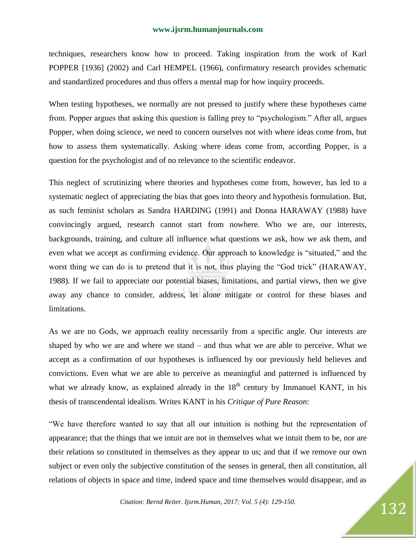techniques, researchers know how to proceed. Taking inspiration from the work of Karl POPPER [1936] (2002) and Carl HEMPEL (1966), confirmatory research provides schematic and standardized procedures and thus offers a mental map for how inquiry proceeds.

When testing hypotheses, we normally are not pressed to justify where these hypotheses came from. Popper argues that asking this question is falling prey to "psychologism." After all, argues Popper, when doing science, we need to concern ourselves not with where ideas come from, but how to assess them systematically. Asking where ideas come from, according Popper, is a question for the psychologist and of no relevance to the scientific endeavor.

This neglect of scrutinizing where theories and hypotheses come from, however, has led to a systematic neglect of appreciating the bias that goes into theory and hypothesis formulation. But, as such feminist scholars as Sandra HARDING (1991) and Donna HARAWAY (1988) have convincingly argued, research cannot start from nowhere. Who we are, our interests, backgrounds, training, and culture all influence what questions we ask, how we ask them, and even what we accept as confirming evidence. Our approach to knowledge is "situated," and the worst thing we can do is to pretend that it is not, thus playing the "God trick" (HARAWAY, 1988). If we fail to appreciate our potential biases, limitations, and partial views, then we give away any chance to consider, address, let alone mitigate or control for these biases and limitations.

As we are no Gods, we approach reality necessarily from a specific angle. Our interests are shaped by who we are and where we stand – and thus what we are able to perceive. What we accept as a confirmation of our hypotheses is influenced by our previously held believes and convictions. Even what we are able to perceive as meaningful and patterned is influenced by what we already know, as explained already in the  $18<sup>th</sup>$  century by Immanuel KANT, in his thesis of transcendental idealism. Writes KANT in his *Critique of Pure Reason*:

―We have therefore wanted to say that all our intuition is nothing but the representation of appearance; that the things that we intuit are not in themselves what we intuit them to be, nor are their relations so constituted in themselves as they appear to us; and that if we remove our own subject or even only the subjective constitution of the senses in general, then all constitution, all relations of objects in space and time, indeed space and time themselves would disappear, and as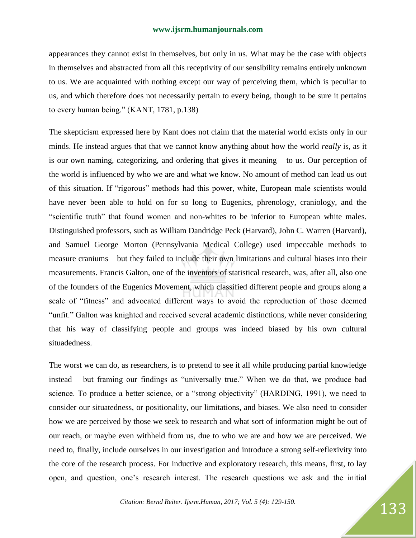appearances they cannot exist in themselves, but only in us. What may be the case with objects in themselves and abstracted from all this receptivity of our sensibility remains entirely unknown to us. We are acquainted with nothing except our way of perceiving them, which is peculiar to us, and which therefore does not necessarily pertain to every being, though to be sure it pertains to every human being." (KANT, 1781, p.138)

The skepticism expressed here by Kant does not claim that the material world exists only in our minds. He instead argues that that we cannot know anything about how the world *really* is, as it is our own naming, categorizing, and ordering that gives it meaning – to us. Our perception of the world is influenced by who we are and what we know. No amount of method can lead us out of this situation. If "rigorous" methods had this power, white, European male scientists would have never been able to hold on for so long to Eugenics, phrenology, craniology, and the "scientific truth" that found women and non-whites to be inferior to European white males. Distinguished professors, such as William Dandridge Peck (Harvard), John C. Warren (Harvard), and Samuel George Morton (Pennsylvania Medical College) used impeccable methods to measure craniums – but they failed to include their own limitations and cultural biases into their measurements. Francis Galton, one of the inventors of statistical research, was, after all, also one of the founders of the Eugenics Movement, which classified different people and groups along a scale of "fitness" and advocated different ways to avoid the reproduction of those deemed ―unfit.‖ Galton was knighted and received several academic distinctions, while never considering that his way of classifying people and groups was indeed biased by his own cultural situadedness.

The worst we can do, as researchers, is to pretend to see it all while producing partial knowledge  $instead - but framing our findings as "universally true." When we do that, we produce bad$ science. To produce a better science, or a "strong objectivity" (HARDING, 1991), we need to consider our situatedness, or positionality, our limitations, and biases. We also need to consider how we are perceived by those we seek to research and what sort of information might be out of our reach, or maybe even withheld from us, due to who we are and how we are perceived. We need to, finally, include ourselves in our investigation and introduce a strong self-reflexivity into the core of the research process. For inductive and exploratory research, this means, first, to lay open, and question, one's research interest. The research questions we ask and the initial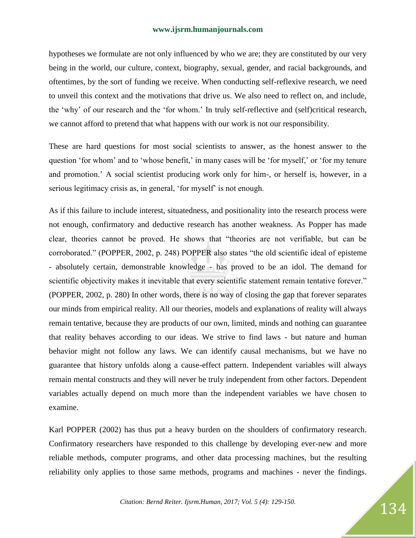hypotheses we formulate are not only influenced by who we are; they are constituted by our very being in the world, our culture, context, biography, sexual, gender, and racial backgrounds, and oftentimes, by the sort of funding we receive. When conducting self-reflexive research, we need to unveil this context and the motivations that drive us. We also need to reflect on, and include, the 'why' of our research and the 'for whom.' In truly self-reflective and (self)critical research, we cannot afford to pretend that what happens with our work is not our responsibility.

These are hard questions for most social scientists to answer, as the honest answer to the question 'for whom' and to 'whose benefit,' in many cases will be 'for myself,' or 'for my tenure and promotion.' A social scientist producing work only for him-, or herself is, however, in a serious legitimacy crisis as, in general, 'for myself' is not enough.

As if this failure to include interest, situatedness, and positionality into the research process were not enough, confirmatory and deductive research has another weakness. As Popper has made clear, theories cannot be proved. He shows that "theories are not verifiable, but can be corroborated." (POPPER, 2002, p. 248) POPPER also states "the old scientific ideal of episteme - absolutely certain, demonstrable knowledge - has proved to be an idol. The demand for scientific objectivity makes it inevitable that every scientific statement remain tentative forever." (POPPER, 2002, p. 280) In other words, there is no way of closing the gap that forever separates our minds from empirical reality. All our theories, models and explanations of reality will always remain tentative, because they are products of our own, limited, minds and nothing can guarantee that reality behaves according to our ideas. We strive to find laws - but nature and human behavior might not follow any laws. We can identify causal mechanisms, but we have no guarantee that history unfolds along a cause-effect pattern. Independent variables will always remain mental constructs and they will never be truly independent from other factors. Dependent variables actually depend on much more than the independent variables we have chosen to examine.

Karl POPPER (2002) has thus put a heavy burden on the shoulders of confirmatory research. Confirmatory researchers have responded to this challenge by developing ever-new and more reliable methods, computer programs, and other data processing machines, but the resulting reliability only applies to those same methods, programs and machines - never the findings.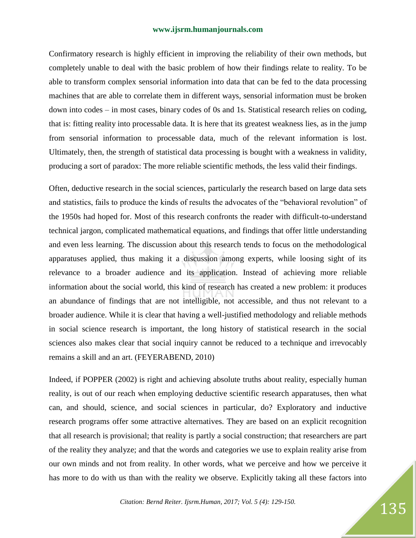Confirmatory research is highly efficient in improving the reliability of their own methods, but completely unable to deal with the basic problem of how their findings relate to reality. To be able to transform complex sensorial information into data that can be fed to the data processing machines that are able to correlate them in different ways, sensorial information must be broken down into codes – in most cases, binary codes of 0s and 1s. Statistical research relies on coding, that is: fitting reality into processable data. It is here that its greatest weakness lies, as in the jump from sensorial information to processable data, much of the relevant information is lost. Ultimately, then, the strength of statistical data processing is bought with a weakness in validity, producing a sort of paradox: The more reliable scientific methods, the less valid their findings.

Often, deductive research in the social sciences, particularly the research based on large data sets and statistics, fails to produce the kinds of results the advocates of the "behavioral revolution" of the 1950s had hoped for. Most of this research confronts the reader with difficult-to-understand technical jargon, complicated mathematical equations, and findings that offer little understanding and even less learning. The discussion about this research tends to focus on the methodological apparatuses applied, thus making it a discussion among experts, while loosing sight of its relevance to a broader audience and its application. Instead of achieving more reliable information about the social world, this kind of research has created a new problem: it produces an abundance of findings that are not intelligible, not accessible, and thus not relevant to a broader audience. While it is clear that having a well-justified methodology and reliable methods in social science research is important, the long history of statistical research in the social sciences also makes clear that social inquiry cannot be reduced to a technique and irrevocably remains a skill and an art. (FEYERABEND, 2010)

Indeed, if POPPER (2002) is right and achieving absolute truths about reality, especially human reality, is out of our reach when employing deductive scientific research apparatuses, then what can, and should, science, and social sciences in particular, do? Exploratory and inductive research programs offer some attractive alternatives. They are based on an explicit recognition that all research is provisional; that reality is partly a social construction; that researchers are part of the reality they analyze; and that the words and categories we use to explain reality arise from our own minds and not from reality. In other words, what we perceive and how we perceive it has more to do with us than with the reality we observe. Explicitly taking all these factors into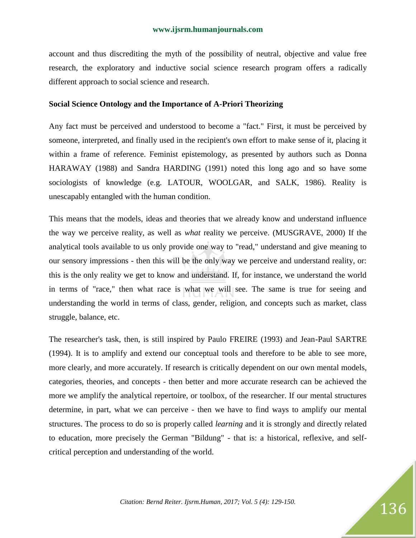account and thus discrediting the myth of the possibility of neutral, objective and value free research, the exploratory and inductive social science research program offers a radically different approach to social science and research.

#### **Social Science Ontology and the Importance of A-Priori Theorizing**

Any fact must be perceived and understood to become a "fact." First, it must be perceived by someone, interpreted, and finally used in the recipient's own effort to make sense of it, placing it within a frame of reference. Feminist epistemology, as presented by authors such as Donna HARAWAY (1988) and Sandra HARDING (1991) noted this long ago and so have some sociologists of knowledge (e.g. LATOUR, WOOLGAR, and SALK, 1986). Reality is unescapably entangled with the human condition.

This means that the models, ideas and theories that we already know and understand influence the way we perceive reality, as well as *what* reality we perceive. (MUSGRAVE, 2000) If the analytical tools available to us only provide one way to "read," understand and give meaning to our sensory impressions - then this will be the only way we perceive and understand reality, or: this is the only reality we get to know and understand. If, for instance, we understand the world in terms of "race," then what race is what we will see. The same is true for seeing and understanding the world in terms of class, gender, religion, and concepts such as market, class struggle, balance, etc.

The researcher's task, then, is still inspired by Paulo FREIRE (1993) and Jean-Paul SARTRE (1994). It is to amplify and extend our conceptual tools and therefore to be able to see more, more clearly, and more accurately. If research is critically dependent on our own mental models, categories, theories, and concepts - then better and more accurate research can be achieved the more we amplify the analytical repertoire, or toolbox, of the researcher. If our mental structures determine, in part, what we can perceive - then we have to find ways to amplify our mental structures. The process to do so is properly called *learning* and it is strongly and directly related to education, more precisely the German "Bildung" - that is: a historical, reflexive, and selfcritical perception and understanding of the world.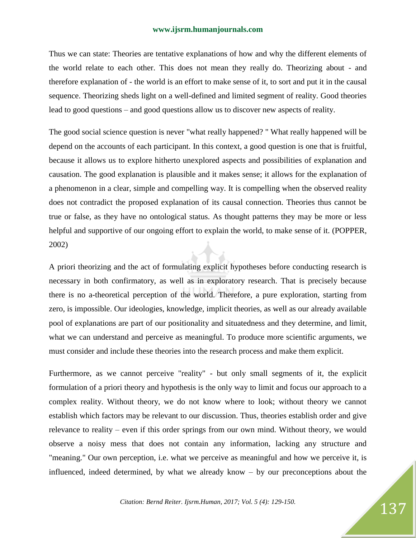Thus we can state: Theories are tentative explanations of how and why the different elements of the world relate to each other. This does not mean they really do. Theorizing about - and therefore explanation of - the world is an effort to make sense of it, to sort and put it in the causal sequence. Theorizing sheds light on a well-defined and limited segment of reality. Good theories lead to good questions – and good questions allow us to discover new aspects of reality.

The good social science question is never "what really happened? " What really happened will be depend on the accounts of each participant. In this context, a good question is one that is fruitful, because it allows us to explore hitherto unexplored aspects and possibilities of explanation and causation. The good explanation is plausible and it makes sense; it allows for the explanation of a phenomenon in a clear, simple and compelling way. It is compelling when the observed reality does not contradict the proposed explanation of its causal connection. Theories thus cannot be true or false, as they have no ontological status. As thought patterns they may be more or less helpful and supportive of our ongoing effort to explain the world, to make sense of it. (POPPER, 2002)

A priori theorizing and the act of formulating explicit hypotheses before conducting research is necessary in both confirmatory, as well as in exploratory research. That is precisely because there is no a-theoretical perception of the world. Therefore, a pure exploration, starting from zero, is impossible. Our ideologies, knowledge, implicit theories, as well as our already available pool of explanations are part of our positionality and situatedness and they determine, and limit, what we can understand and perceive as meaningful. To produce more scientific arguments, we must consider and include these theories into the research process and make them explicit.

Furthermore, as we cannot perceive "reality" - but only small segments of it, the explicit formulation of a priori theory and hypothesis is the only way to limit and focus our approach to a complex reality. Without theory, we do not know where to look; without theory we cannot establish which factors may be relevant to our discussion. Thus, theories establish order and give relevance to reality – even if this order springs from our own mind. Without theory, we would observe a noisy mess that does not contain any information, lacking any structure and "meaning." Our own perception, i.e. what we perceive as meaningful and how we perceive it, is influenced, indeed determined, by what we already know – by our preconceptions about the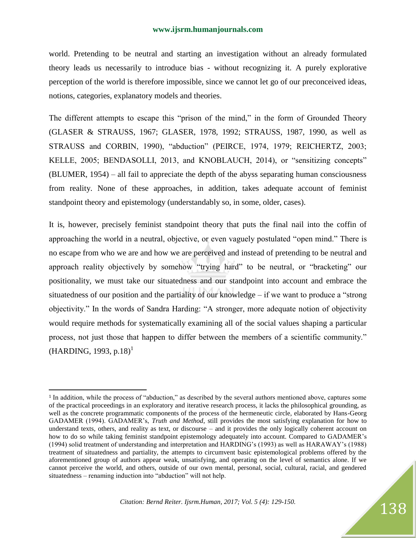world. Pretending to be neutral and starting an investigation without an already formulated theory leads us necessarily to introduce bias - without recognizing it. A purely explorative perception of the world is therefore impossible, since we cannot let go of our preconceived ideas, notions, categories, explanatory models and theories.

The different attempts to escape this "prison of the mind," in the form of Grounded Theory (GLASER & STRAUSS, 1967; GLASER, 1978, 1992; STRAUSS, 1987, 1990, as well as STRAUSS and CORBIN, 1990), "abduction" (PEIRCE, 1974, 1979; REICHERTZ, 2003; KELLE, 2005; BENDASOLLI, 2013, and KNOBLAUCH, 2014), or "sensitizing concepts" (BLUMER, 1954) – all fail to appreciate the depth of the abyss separating human consciousness from reality. None of these approaches, in addition, takes adequate account of feminist standpoint theory and epistemology (understandably so, in some, older, cases).

It is, however, precisely feminist standpoint theory that puts the final nail into the coffin of approaching the world in a neutral, objective, or even vaguely postulated "open mind." There is no escape from who we are and how we are perceived and instead of pretending to be neutral and approach reality objectively by somehow "trying hard" to be neutral, or "bracketing" our positionality, we must take our situatedness and our standpoint into account and embrace the situatedness of our position and the partiality of our knowledge – if we want to produce a "strong" objectivity." In the words of Sandra Harding: "A stronger, more adequate notion of objectivity would require methods for systematically examining all of the social values shaping a particular process, not just those that happen to differ between the members of a scientific community."  $(HARDING, 1993, p.18)^1$ 

l

<sup>&</sup>lt;sup>1</sup> In addition, while the process of "abduction," as described by the several authors mentioned above, captures some of the practical proceedings in an exploratory and iterative research process, it lacks the philosophical grounding, as well as the concrete programmatic components of the process of the hermeneutic circle, elaborated by Hans-Georg GADAMER (1994). GADAMER's, *Truth and Method*, still provides the most satisfying explanation for how to understand texts, others, and reality as text, or discourse – and it provides the only logically coherent account on how to do so while taking feminist standpoint epistemology adequately into account. Compared to GADAMER's (1994) solid treatment of understanding and interpretation and HARDING's (1993) as well as HARAWAY's (1988) treatment of situatedness and partiality, the attempts to circumvent basic epistemological problems offered by the aforementioned group of authors appear weak, unsatisfying, and operating on the level of semantics alone. If we cannot perceive the world, and others, outside of our own mental, personal, social, cultural, racial, and gendered situatedness – renaming induction into "abduction" will not help.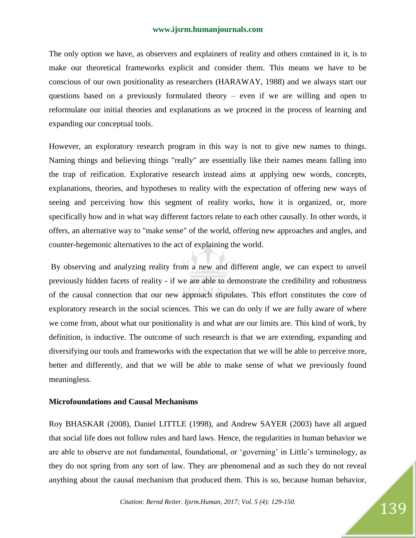The only option we have, as observers and explainers of reality and others contained in it, is to make our theoretical frameworks explicit and consider them. This means we have to be conscious of our own positionality as researchers (HARAWAY, 1988) and we always start our questions based on a previously formulated theory – even if we are willing and open to reformulate our initial theories and explanations as we proceed in the process of learning and expanding our conceptual tools.

However, an exploratory research program in this way is not to give new names to things. Naming things and believing things "really" are essentially like their names means falling into the trap of reification. Explorative research instead aims at applying new words, concepts, explanations, theories, and hypotheses to reality with the expectation of offering new ways of seeing and perceiving how this segment of reality works, how it is organized, or, more specifically how and in what way different factors relate to each other causally. In other words, it offers, an alternative way to "make sense" of the world, offering new approaches and angles, and counter-hegemonic alternatives to the act of explaining the world.

By observing and analyzing reality from a new and different angle, we can expect to unveil previously hidden facets of reality - if we are able to demonstrate the credibility and robustness of the causal connection that our new approach stipulates. This effort constitutes the core of exploratory research in the social sciences. This we can do only if we are fully aware of where we come from, about what our positionality is and what are our limits are. This kind of work, by definition, is inductive. The outcome of such research is that we are extending, expanding and diversifying our tools and frameworks with the expectation that we will be able to perceive more, better and differently, and that we will be able to make sense of what we previously found meaningless.

#### **Microfoundations and Causal Mechanisms**

Roy BHASKAR (2008), Daniel LITTLE (1998), and Andrew SAYER (2003) have all argued that social life does not follow rules and hard laws. Hence, the regularities in human behavior we are able to observe are not fundamental, foundational, or ‗governing' in Little's terminology, as they do not spring from any sort of law. They are phenomenal and as such they do not reveal anything about the causal mechanism that produced them. This is so, because human behavior,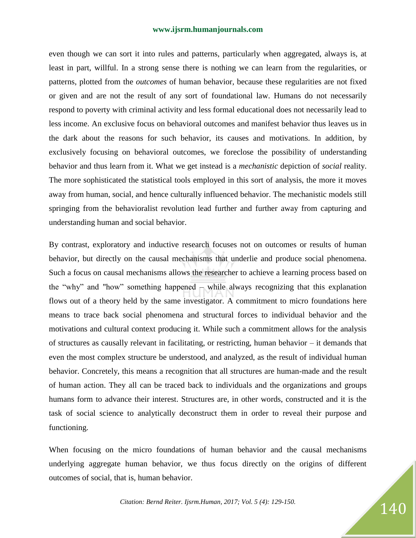even though we can sort it into rules and patterns, particularly when aggregated, always is, at least in part, willful. In a strong sense there is nothing we can learn from the regularities, or patterns, plotted from the *outcomes* of human behavior, because these regularities are not fixed or given and are not the result of any sort of foundational law. Humans do not necessarily respond to poverty with criminal activity and less formal educational does not necessarily lead to less income. An exclusive focus on behavioral outcomes and manifest behavior thus leaves us in the dark about the reasons for such behavior, its causes and motivations. In addition, by exclusively focusing on behavioral outcomes, we foreclose the possibility of understanding behavior and thus learn from it. What we get instead is a *mechanistic* depiction of *social* reality. The more sophisticated the statistical tools employed in this sort of analysis, the more it moves away from human, social, and hence culturally influenced behavior. The mechanistic models still springing from the behavioralist revolution lead further and further away from capturing and understanding human and social behavior.

By contrast, exploratory and inductive research focuses not on outcomes or results of human behavior, but directly on the causal mechanisms that underlie and produce social phenomena. Such a focus on causal mechanisms allows the researcher to achieve a learning process based on the "why" and "how" something happened – while always recognizing that this explanation flows out of a theory held by the same investigator. A commitment to micro foundations here means to trace back social phenomena and structural forces to individual behavior and the motivations and cultural context producing it. While such a commitment allows for the analysis of structures as causally relevant in facilitating, or restricting, human behavior – it demands that even the most complex structure be understood, and analyzed, as the result of individual human behavior. Concretely, this means a recognition that all structures are human-made and the result of human action. They all can be traced back to individuals and the organizations and groups humans form to advance their interest. Structures are, in other words, constructed and it is the task of social science to analytically deconstruct them in order to reveal their purpose and functioning.

When focusing on the micro foundations of human behavior and the causal mechanisms underlying aggregate human behavior, we thus focus directly on the origins of different outcomes of social, that is, human behavior.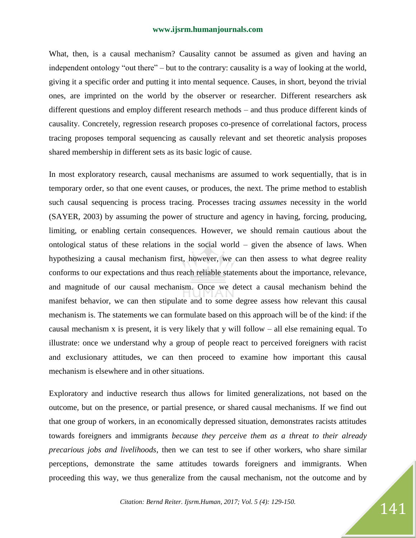What, then, is a causal mechanism? Causality cannot be assumed as given and having an independent ontology "out there" – but to the contrary: causality is a way of looking at the world, giving it a specific order and putting it into mental sequence. Causes, in short, beyond the trivial ones, are imprinted on the world by the observer or researcher. Different researchers ask different questions and employ different research methods – and thus produce different kinds of causality. Concretely, regression research proposes co-presence of correlational factors, process tracing proposes temporal sequencing as causally relevant and set theoretic analysis proposes shared membership in different sets as its basic logic of cause.

In most exploratory research, causal mechanisms are assumed to work sequentially, that is in temporary order, so that one event causes, or produces, the next. The prime method to establish such causal sequencing is process tracing. Processes tracing *assumes* necessity in the world (SAYER, 2003) by assuming the power of structure and agency in having, forcing, producing, limiting, or enabling certain consequences. However, we should remain cautious about the ontological status of these relations in the social world – given the absence of laws. When hypothesizing a causal mechanism first, however, we can then assess to what degree reality conforms to our expectations and thus reach reliable statements about the importance, relevance, and magnitude of our causal mechanism. Once we detect a causal mechanism behind the manifest behavior, we can then stipulate and to some degree assess how relevant this causal mechanism is. The statements we can formulate based on this approach will be of the kind: if the causal mechanism x is present, it is very likely that y will follow – all else remaining equal. To illustrate: once we understand why a group of people react to perceived foreigners with racist and exclusionary attitudes, we can then proceed to examine how important this causal mechanism is elsewhere and in other situations.

Exploratory and inductive research thus allows for limited generalizations, not based on the outcome, but on the presence, or partial presence, or shared causal mechanisms. If we find out that one group of workers, in an economically depressed situation, demonstrates racists attitudes towards foreigners and immigrants *because they perceive them as a threat to their already precarious jobs and livelihoods*, then we can test to see if other workers, who share similar perceptions, demonstrate the same attitudes towards foreigners and immigrants. When proceeding this way, we thus generalize from the causal mechanism, not the outcome and by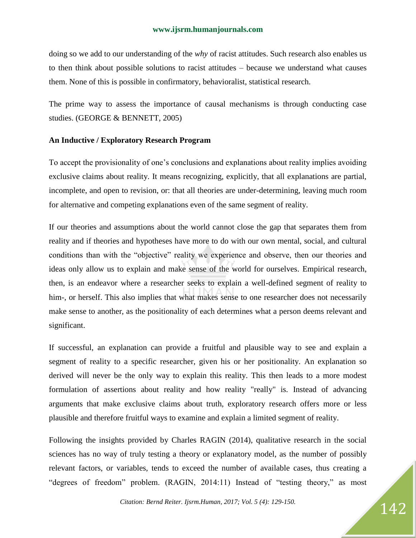doing so we add to our understanding of the *why* of racist attitudes. Such research also enables us to then think about possible solutions to racist attitudes – because we understand what causes them. None of this is possible in confirmatory, behavioralist, statistical research.

The prime way to assess the importance of causal mechanisms is through conducting case studies. (GEORGE & BENNETT, 2005)

#### **An Inductive / Exploratory Research Program**

To accept the provisionality of one's conclusions and explanations about reality implies avoiding exclusive claims about reality. It means recognizing, explicitly, that all explanations are partial, incomplete, and open to revision, or: that all theories are under-determining, leaving much room for alternative and competing explanations even of the same segment of reality.

If our theories and assumptions about the world cannot close the gap that separates them from reality and if theories and hypotheses have more to do with our own mental, social, and cultural conditions than with the "objective" reality we experience and observe, then our theories and ideas only allow us to explain and make sense of the world for ourselves. Empirical research, then, is an endeavor where a researcher seeks to explain a well-defined segment of reality to him-, or herself. This also implies that what makes sense to one researcher does not necessarily make sense to another, as the positionality of each determines what a person deems relevant and significant.

If successful, an explanation can provide a fruitful and plausible way to see and explain a segment of reality to a specific researcher, given his or her positionality. An explanation so derived will never be the only way to explain this reality. This then leads to a more modest formulation of assertions about reality and how reality "really" is. Instead of advancing arguments that make exclusive claims about truth, exploratory research offers more or less plausible and therefore fruitful ways to examine and explain a limited segment of reality.

Following the insights provided by Charles RAGIN (2014), qualitative research in the social sciences has no way of truly testing a theory or explanatory model, as the number of possibly relevant factors, or variables, tends to exceed the number of available cases, thus creating a "degrees of freedom" problem. (RAGIN, 2014:11) Instead of "testing theory," as most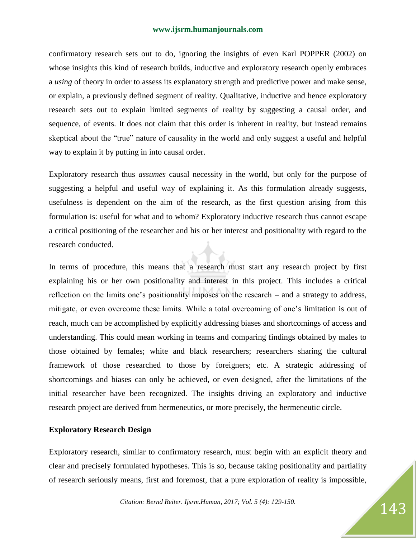confirmatory research sets out to do, ignoring the insights of even Karl POPPER (2002) on whose insights this kind of research builds, inductive and exploratory research openly embraces a *using* of theory in order to assess its explanatory strength and predictive power and make sense, or explain, a previously defined segment of reality. Qualitative, inductive and hence exploratory research sets out to explain limited segments of reality by suggesting a causal order, and sequence, of events. It does not claim that this order is inherent in reality, but instead remains skeptical about the "true" nature of causality in the world and only suggest a useful and helpful way to explain it by putting in into causal order.

Exploratory research thus *assumes* causal necessity in the world, but only for the purpose of suggesting a helpful and useful way of explaining it. As this formulation already suggests, usefulness is dependent on the aim of the research, as the first question arising from this formulation is: useful for what and to whom? Exploratory inductive research thus cannot escape a critical positioning of the researcher and his or her interest and positionality with regard to the research conducted.

In terms of procedure, this means that a research must start any research project by first explaining his or her own positionality and interest in this project. This includes a critical reflection on the limits one's positionality imposes on the research – and a strategy to address, mitigate, or even overcome these limits. While a total overcoming of one's limitation is out of reach, much can be accomplished by explicitly addressing biases and shortcomings of access and understanding. This could mean working in teams and comparing findings obtained by males to those obtained by females; white and black researchers; researchers sharing the cultural framework of those researched to those by foreigners; etc. A strategic addressing of shortcomings and biases can only be achieved, or even designed, after the limitations of the initial researcher have been recognized. The insights driving an exploratory and inductive research project are derived from hermeneutics, or more precisely, the hermeneutic circle.

#### **Exploratory Research Design**

Exploratory research, similar to confirmatory research, must begin with an explicit theory and clear and precisely formulated hypotheses. This is so, because taking positionality and partiality of research seriously means, first and foremost, that a pure exploration of reality is impossible,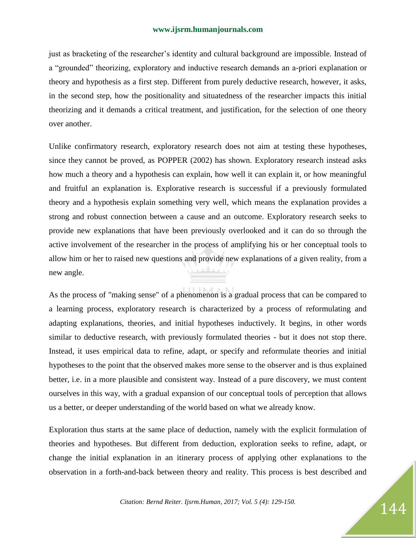just as bracketing of the researcher's identity and cultural background are impossible. Instead of a "grounded" theorizing, exploratory and inductive research demands an a-priori explanation or theory and hypothesis as a first step. Different from purely deductive research, however, it asks, in the second step, how the positionality and situatedness of the researcher impacts this initial theorizing and it demands a critical treatment, and justification, for the selection of one theory over another.

Unlike confirmatory research, exploratory research does not aim at testing these hypotheses, since they cannot be proved, as POPPER (2002) has shown. Exploratory research instead asks how much a theory and a hypothesis can explain, how well it can explain it, or how meaningful and fruitful an explanation is. Explorative research is successful if a previously formulated theory and a hypothesis explain something very well, which means the explanation provides a strong and robust connection between a cause and an outcome. Exploratory research seeks to provide new explanations that have been previously overlooked and it can do so through the active involvement of the researcher in the process of amplifying his or her conceptual tools to allow him or her to raised new questions and provide new explanations of a given reality, from a new angle.

As the process of "making sense" of a phenomenon is a gradual process that can be compared to a learning process, exploratory research is characterized by a process of reformulating and adapting explanations, theories, and initial hypotheses inductively. It begins, in other words similar to deductive research, with previously formulated theories - but it does not stop there. Instead, it uses empirical data to refine, adapt, or specify and reformulate theories and initial hypotheses to the point that the observed makes more sense to the observer and is thus explained better, i.e. in a more plausible and consistent way. Instead of a pure discovery, we must content ourselves in this way, with a gradual expansion of our conceptual tools of perception that allows us a better, or deeper understanding of the world based on what we already know.

Exploration thus starts at the same place of deduction, namely with the explicit formulation of theories and hypotheses. But different from deduction, exploration seeks to refine, adapt, or change the initial explanation in an itinerary process of applying other explanations to the observation in a forth-and-back between theory and reality. This process is best described and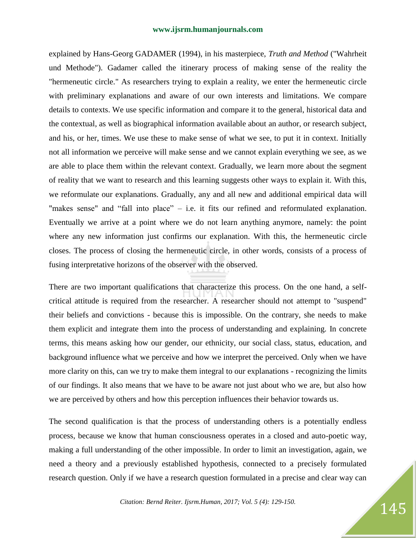explained by Hans-Georg GADAMER (1994), in his masterpiece, *Truth and Method* ("Wahrheit und Methode"). Gadamer called the itinerary process of making sense of the reality the "hermeneutic circle." As researchers trying to explain a reality, we enter the hermeneutic circle with preliminary explanations and aware of our own interests and limitations. We compare details to contexts. We use specific information and compare it to the general, historical data and the contextual, as well as biographical information available about an author, or research subject, and his, or her, times. We use these to make sense of what we see, to put it in context. Initially not all information we perceive will make sense and we cannot explain everything we see, as we are able to place them within the relevant context. Gradually, we learn more about the segment of reality that we want to research and this learning suggests other ways to explain it. With this, we reformulate our explanations. Gradually, any and all new and additional empirical data will "makes sense" and "fall into place" – i.e. it fits our refined and reformulated explanation. Eventually we arrive at a point where we do not learn anything anymore, namely: the point where any new information just confirms our explanation. With this, the hermeneutic circle closes. The process of closing the hermeneutic circle, in other words, consists of a process of fusing interpretative horizons of the observer with the observed.

There are two important qualifications that characterize this process. On the one hand, a selfcritical attitude is required from the researcher. A researcher should not attempt to "suspend" their beliefs and convictions - because this is impossible. On the contrary, she needs to make them explicit and integrate them into the process of understanding and explaining. In concrete terms, this means asking how our gender, our ethnicity, our social class, status, education, and background influence what we perceive and how we interpret the perceived. Only when we have more clarity on this, can we try to make them integral to our explanations - recognizing the limits of our findings. It also means that we have to be aware not just about who we are, but also how we are perceived by others and how this perception influences their behavior towards us.

The second qualification is that the process of understanding others is a potentially endless process, because we know that human consciousness operates in a closed and auto-poetic way, making a full understanding of the other impossible. In order to limit an investigation, again, we need a theory and a previously established hypothesis, connected to a precisely formulated research question. Only if we have a research question formulated in a precise and clear way can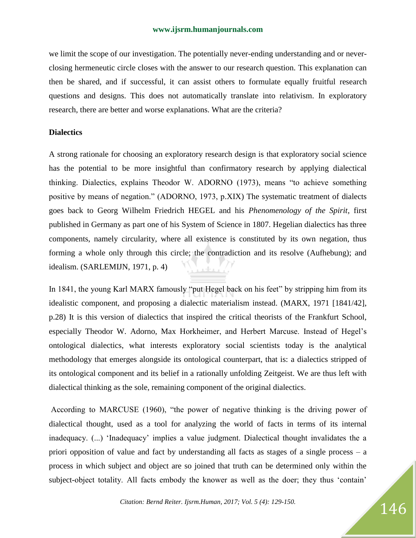we limit the scope of our investigation. The potentially never-ending understanding and or neverclosing hermeneutic circle closes with the answer to our research question. This explanation can then be shared, and if successful, it can assist others to formulate equally fruitful research questions and designs. This does not automatically translate into relativism. In exploratory research, there are better and worse explanations. What are the criteria?

#### **Dialectics**

A strong rationale for choosing an exploratory research design is that exploratory social science has the potential to be more insightful than confirmatory research by applying dialectical thinking. Dialectics, explains Theodor W. ADORNO (1973), means "to achieve something positive by means of negation." (ADORNO, 1973, p.XIX) The systematic treatment of dialects goes back to Georg Wilhelm Friedrich HEGEL and his *Phenomenology of the Spirit*, first published in Germany as part one of his System of Science in 1807. Hegelian dialectics has three components, namely circularity, where all existence is constituted by its own negation, thus forming a whole only through this circle; the contradiction and its resolve (Aufhebung); and idealism. (SARLEMIJN, 1971, p. 4) Juku 7.

In 1841, the young Karl MARX famously "put Hegel back on his feet" by stripping him from its idealistic component, and proposing a dialectic materialism instead. (MARX, 1971 [1841/42], p.28) It is this version of dialectics that inspired the critical theorists of the Frankfurt School, especially Theodor W. Adorno, Max Horkheimer, and Herbert Marcuse. Instead of Hegel's ontological dialectics, what interests exploratory social scientists today is the analytical methodology that emerges alongside its ontological counterpart, that is: a dialectics stripped of its ontological component and its belief in a rationally unfolding Zeitgeist. We are thus left with dialectical thinking as the sole, remaining component of the original dialectics.

According to MARCUSE (1960), "the power of negative thinking is the driving power of dialectical thought, used as a tool for analyzing the world of facts in terms of its internal inadequacy. (...) 'Inadequacy' implies a value judgment. Dialectical thought invalidates the a priori opposition of value and fact by understanding all facts as stages of a single process – a process in which subject and object are so joined that truth can be determined only within the subject-object totality. All facts embody the knower as well as the doer; they thus 'contain'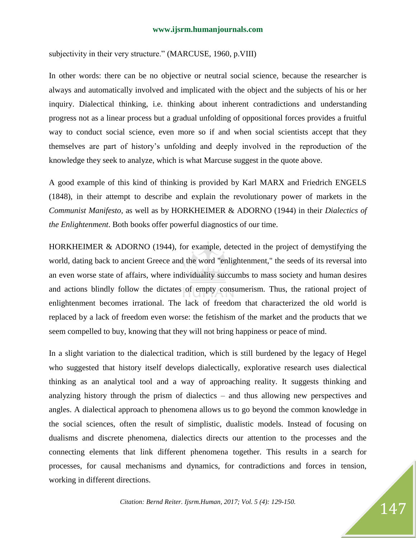subjectivity in their very structure." (MARCUSE, 1960, p.VIII)

In other words: there can be no objective or neutral social science, because the researcher is always and automatically involved and implicated with the object and the subjects of his or her inquiry. Dialectical thinking, i.e. thinking about inherent contradictions and understanding progress not as a linear process but a gradual unfolding of oppositional forces provides a fruitful way to conduct social science, even more so if and when social scientists accept that they themselves are part of history's unfolding and deeply involved in the reproduction of the knowledge they seek to analyze, which is what Marcuse suggest in the quote above.

A good example of this kind of thinking is provided by Karl MARX and Friedrich ENGELS (1848), in their attempt to describe and explain the revolutionary power of markets in the *Communist Manifesto*, as well as by HORKHEIMER & ADORNO (1944) in their *Dialectics of the Enlightenment*. Both books offer powerful diagnostics of our time.

HORKHEIMER & ADORNO (1944), for example, detected in the project of demystifying the world, dating back to ancient Greece and the word "enlightenment," the seeds of its reversal into an even worse state of affairs, where individuality succumbs to mass society and human desires and actions blindly follow the dictates of empty consumerism. Thus, the rational project of enlightenment becomes irrational. The lack of freedom that characterized the old world is replaced by a lack of freedom even worse: the fetishism of the market and the products that we seem compelled to buy, knowing that they will not bring happiness or peace of mind.

In a slight variation to the dialectical tradition, which is still burdened by the legacy of Hegel who suggested that history itself develops dialectically, explorative research uses dialectical thinking as an analytical tool and a way of approaching reality. It suggests thinking and analyzing history through the prism of dialectics – and thus allowing new perspectives and angles. A dialectical approach to phenomena allows us to go beyond the common knowledge in the social sciences, often the result of simplistic, dualistic models. Instead of focusing on dualisms and discrete phenomena, dialectics directs our attention to the processes and the connecting elements that link different phenomena together. This results in a search for processes, for causal mechanisms and dynamics, for contradictions and forces in tension, working in different directions.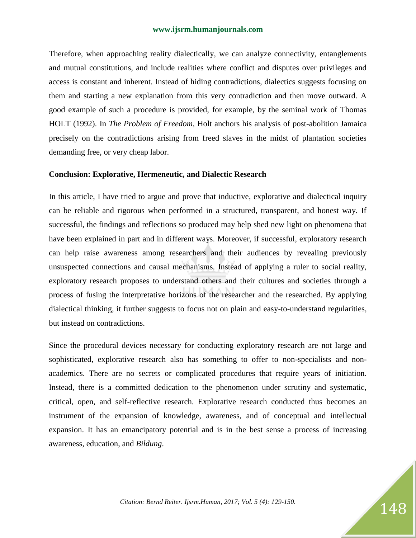Therefore, when approaching reality dialectically, we can analyze connectivity, entanglements and mutual constitutions, and include realities where conflict and disputes over privileges and access is constant and inherent. Instead of hiding contradictions, dialectics suggests focusing on them and starting a new explanation from this very contradiction and then move outward. A good example of such a procedure is provided, for example, by the seminal work of Thomas HOLT (1992). In *The Problem of Freedom*, Holt anchors his analysis of post-abolition Jamaica precisely on the contradictions arising from freed slaves in the midst of plantation societies demanding free, or very cheap labor.

#### **Conclusion: Explorative, Hermeneutic, and Dialectic Research**

In this article, I have tried to argue and prove that inductive, explorative and dialectical inquiry can be reliable and rigorous when performed in a structured, transparent, and honest way. If successful, the findings and reflections so produced may help shed new light on phenomena that have been explained in part and in different ways. Moreover, if successful, exploratory research can help raise awareness among researchers and their audiences by revealing previously unsuspected connections and causal mechanisms. Instead of applying a ruler to social reality, exploratory research proposes to understand others and their cultures and societies through a process of fusing the interpretative horizons of the researcher and the researched. By applying dialectical thinking, it further suggests to focus not on plain and easy-to-understand regularities, but instead on contradictions.

Since the procedural devices necessary for conducting exploratory research are not large and sophisticated, explorative research also has something to offer to non-specialists and nonacademics. There are no secrets or complicated procedures that require years of initiation. Instead, there is a committed dedication to the phenomenon under scrutiny and systematic, critical, open, and self-reflective research. Explorative research conducted thus becomes an instrument of the expansion of knowledge, awareness, and of conceptual and intellectual expansion. It has an emancipatory potential and is in the best sense a process of increasing awareness, education, and *Bildung*.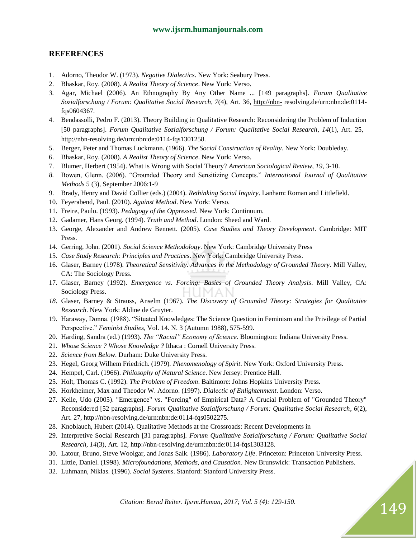#### **REFERENCES**

- 1. Adorno, Theodor W. (1973). *Negative Dialectics*. New York: Seabury Press.
- 2. Bhaskar, Roy. (2008). *A Realist Theory of Science*. New York: Verso.
- *3.* Agar, Michael (2006). An Ethnography By Any Other Name ... [149 paragraphs]. *Forum Qualitative Sozialforschung / Forum: Qualitative Social Research*, *7*(4), Art. 36, [http://nbn-](http://nbn-/) resolving.de/urn:nbn:de:0114 fqs0604367.
- 4. Bendassolli, Pedro F. (2013). Theory Building in Qualitative Research: Reconsidering the Problem of Induction [50 paragraphs]. *Forum Qualitative Sozialforschung / Forum: Qualitative Social Research*, *14*(1), Art. 25, http://nbn-resolving.de/urn:nbn:de:0114-fqs1301258.
- 5. Berger, Peter and Thomas Luckmann. (1966). *The Social Construction of Reality*. New York: Doubleday.
- 6. Bhaskar, Roy. (2008). *A Realist Theory of Science*. New York: Verso.
- 7. Blumer, Herbert (1954). What is Wrong with Social Theory? *American Sociological Review*, *19*, 3-10.
- *8.* Bowen, Glenn. (2006). ―Grounded Theory and Sensitizing Concepts.‖ *International Journal of Qualitative Methods* 5 (3), September 2006:1-9
- 9. Brady, Henry and David Collier (eds.) (2004). *Rethinking Social Inquiry*. Lanham: Roman and Littlefield.
- 10. Feyerabend, Paul. (2010). *Against Method*. New York: Verso.
- 11. Freire, Paulo. (1993). *Pedagogy of the Oppressed*. New York: Continuum.
- 12. Gadamer, Hans Georg. (1994). *Truth and Method*. London: Sheed and Ward.
- 13. George, Alexander and Andrew Bennett. (2005). *Case Studies and Theory Development*. Cambridge: MIT Press.
- 14. Gerring, John. (2001). *Social Science Methodology*. New York: Cambridge University Press
- 15. *Case Study Research: Principles and Practices*. New York: Cambridge University Press.
- 16. Glaser, Barney (1978). *Theoretical Sensitivity. Advances in the Methodology of Grounded Theory*. Mill Valley, CA: The Sociology Press.
- 17. Glaser, Barney (1992). *Emergence vs. Forcing: Basics of Grounded Theory Analysis*. Mill Valley, CA: human Sociology Press.
- *18.* Glaser, Barney & Strauss, Anselm (1967). *The Discovery of Grounded Theory: Strategies for Qualitative Research*. New York: Aldine de Gruyter.
- 19. Haraway, Donna. (1988). "Situated Knowledges: The Science Question in Feminism and the Privilege of Partial Perspective.‖ *Feminist Studies*, Vol. 14. N. 3 (Autumn 1988), 575-599.
- 20. Harding, Sandra (ed.) (1993). *The "Racial" Economy of Science*. Bloomington: Indiana University Press.
- 21. *Whose Science ? Whose Knowledge ?* Ithaca : Cornell University Press.
- 22. *Science from Below*. Durham: Duke University Press.
- 23. Hegel, Georg Wilhem Friedrich. (1979). *Phenomenology of Spirit*. New York: Oxford University Press.
- 24. Hempel, Carl. (1966). *Philosophy of Natural Science*. New Jersey: Prentice Hall.
- 25. Holt, Thomas C. (1992). *The Problem of Freedom*. Baltimore: Johns Hopkins University Press.
- 26. Horkheimer, Max and Theodor W. Adorno. (1997). *Dialectic of Enlightenment*. London: Verso.
- 27. Kelle, Udo (2005). "Emergence" vs. "Forcing" of Empirical Data? A Crucial Problem of "Grounded Theory" Reconsidered [52 paragraphs]. *Forum Qualitative Sozialforschung / Forum: Qualitative Social Research*, *6*(2), Art. 27, http://nbn-resolving.de/urn:nbn:de:0114-fqs0502275.
- 28. Knoblauch, Hubert (2014). Qualitative Methods at the Crossroads: Recent Developments in
- 29. Interpretive Social Research [31 paragraphs]. *Forum Qualitative Sozialforschung / Forum: Qualitative Social Research*, *14*(3), Art. 12, http://nbn-resolving.de/urn:nbn:de:0114-fqs1303128.
- 30. Latour, Bruno, Steve Woolgar, and Jonas Salk. (1986). *Laboratory Life*. Princeton: Princeton University Press.
- 31. Little, Daniel. (1998). *Microfoundations, Methods, and Causation*. New Brunswick: Transaction Publishers.
- 32. Luhmann, Niklas. (1996). *Social Systems*. Stanford: Stanford University Press.